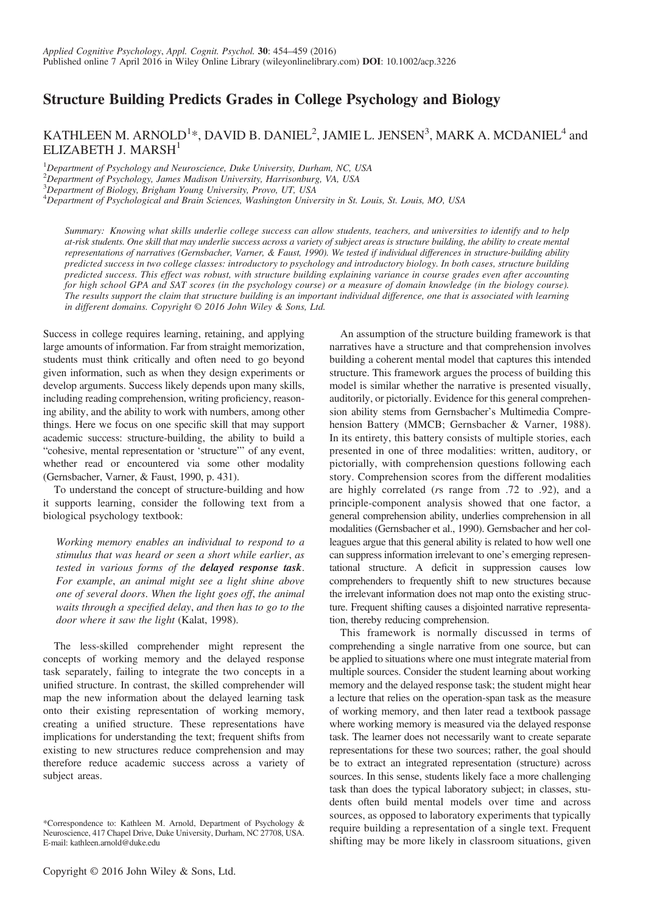# Structure Building Predicts Grades in College Psychology and Biology

# KATHLEEN M. ARNOLD<sup>1</sup>\*, DAVID B. DANIEL<sup>2</sup>, JAMIE L. JENSEN<sup>3</sup>, MARK A. MCDANIEL<sup>4</sup> and ELIZABETH J. MARSH<sup>1</sup>

<sup>1</sup>Department of Psychology and Neuroscience, Duke University, Durham, NC, USA

<sup>2</sup>Department of Psychology, James Madison University, Harrisonburg, VA, USA

<sup>3</sup>Department of Biology, Brigham Young University, Provo, UT, USA

<sup>4</sup>Department of Psychological and Brain Sciences, Washington University in St. Louis, St. Louis, MO, USA

Summary: Knowing what skills underlie college success can allow students, teachers, and universities to identify and to help at-risk students. One skill that may underlie success across a variety of subject areas is structure building, the ability to create mental representations of narratives (Gernsbacher, Varner, & Faust, 1990). We tested if individual differences in structure-building ability predicted success in two college classes: introductory to psychology and introductory biology. In both cases, structure building predicted success. This effect was robust, with structure building explaining variance in course grades even after accounting for high school GPA and SAT scores (in the psychology course) or a measure of domain knowledge (in the biology course). The results support the claim that structure building is an important individual difference, one that is associated with learning in different domains. Copyright © 2016 John Wiley & Sons, Ltd.

Success in college requires learning, retaining, and applying large amounts of information. Far from straight memorization, students must think critically and often need to go beyond given information, such as when they design experiments or develop arguments. Success likely depends upon many skills, including reading comprehension, writing proficiency, reasoning ability, and the ability to work with numbers, among other things. Here we focus on one specific skill that may support academic success: structure-building, the ability to build a "cohesive, mental representation or 'structure"' of any event, whether read or encountered via some other modality (Gernsbacher, Varner, & Faust, 1990, p. 431).

To understand the concept of structure-building and how it supports learning, consider the following text from a biological psychology textbook:

Working memory enables an individual to respond to a stimulus that was heard or seen a short while earlier, as tested in various forms of the delayed response task. For example, an animal might see a light shine above one of several doors. When the light goes off, the animal waits through a specified delay, and then has to go to the door where it saw the light (Kalat, 1998).

The less-skilled comprehender might represent the concepts of working memory and the delayed response task separately, failing to integrate the two concepts in a unified structure. In contrast, the skilled comprehender will map the new information about the delayed learning task onto their existing representation of working memory, creating a unified structure. These representations have implications for understanding the text; frequent shifts from existing to new structures reduce comprehension and may therefore reduce academic success across a variety of subject areas.

An assumption of the structure building framework is that narratives have a structure and that comprehension involves building a coherent mental model that captures this intended structure. This framework argues the process of building this model is similar whether the narrative is presented visually, auditorily, or pictorially. Evidence for this general comprehension ability stems from Gernsbacher's Multimedia Comprehension Battery (MMCB; Gernsbacher & Varner, 1988). In its entirety, this battery consists of multiple stories, each presented in one of three modalities: written, auditory, or pictorially, with comprehension questions following each story. Comprehension scores from the different modalities are highly correlated (rs range from .72 to .92), and a principle-component analysis showed that one factor, a general comprehension ability, underlies comprehension in all modalities (Gernsbacher et al., 1990). Gernsbacher and her colleagues argue that this general ability is related to how well one can suppress information irrelevant to one's emerging representational structure. A deficit in suppression causes low comprehenders to frequently shift to new structures because the irrelevant information does not map onto the existing structure. Frequent shifting causes a disjointed narrative representation, thereby reducing comprehension.

This framework is normally discussed in terms of comprehending a single narrative from one source, but can be applied to situations where one must integrate material from multiple sources. Consider the student learning about working memory and the delayed response task; the student might hear a lecture that relies on the operation-span task as the measure of working memory, and then later read a textbook passage where working memory is measured via the delayed response task. The learner does not necessarily want to create separate representations for these two sources; rather, the goal should be to extract an integrated representation (structure) across sources. In this sense, students likely face a more challenging task than does the typical laboratory subject; in classes, students often build mental models over time and across sources, as opposed to laboratory experiments that typically require building a representation of a single text. Frequent shifting may be more likely in classroom situations, given

<sup>\*</sup>Correspondence to: Kathleen M. Arnold, Department of Psychology & Neuroscience, 417 Chapel Drive, Duke University, Durham, NC 27708, USA. E-mail: kathleen.arnold@duke.edu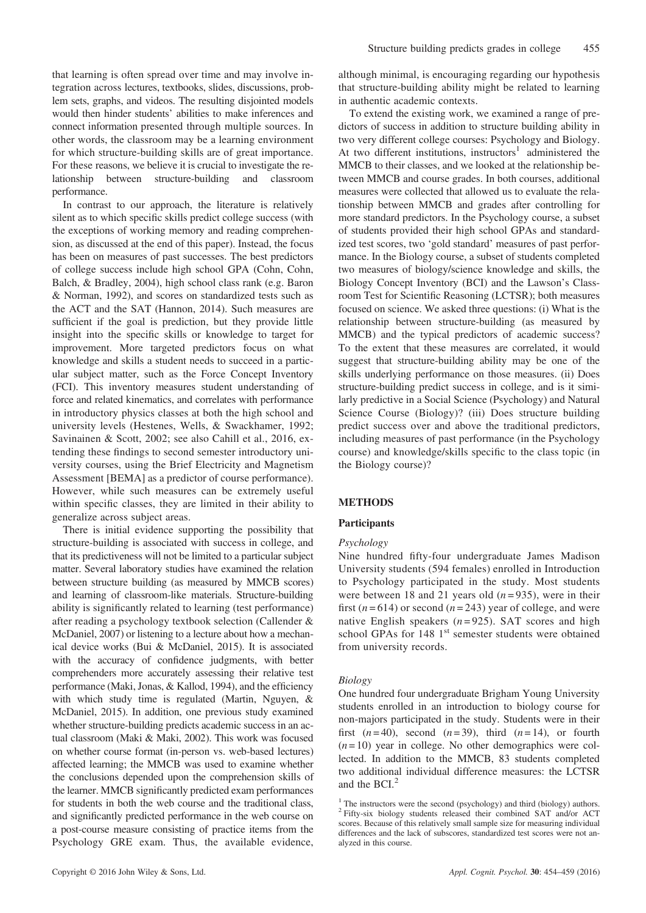that learning is often spread over time and may involve integration across lectures, textbooks, slides, discussions, problem sets, graphs, and videos. The resulting disjointed models would then hinder students' abilities to make inferences and connect information presented through multiple sources. In other words, the classroom may be a learning environment for which structure-building skills are of great importance. For these reasons, we believe it is crucial to investigate the relationship between structure-building and classroom performance.

In contrast to our approach, the literature is relatively silent as to which specific skills predict college success (with the exceptions of working memory and reading comprehension, as discussed at the end of this paper). Instead, the focus has been on measures of past successes. The best predictors of college success include high school GPA (Cohn, Cohn, Balch, & Bradley, 2004), high school class rank (e.g. Baron & Norman, 1992), and scores on standardized tests such as the ACT and the SAT (Hannon, 2014). Such measures are sufficient if the goal is prediction, but they provide little insight into the specific skills or knowledge to target for improvement. More targeted predictors focus on what knowledge and skills a student needs to succeed in a particular subject matter, such as the Force Concept Inventory (FCI). This inventory measures student understanding of force and related kinematics, and correlates with performance in introductory physics classes at both the high school and university levels (Hestenes, Wells, & Swackhamer, 1992; Savinainen & Scott, 2002; see also Cahill et al., 2016, extending these findings to second semester introductory university courses, using the Brief Electricity and Magnetism Assessment [BEMA] as a predictor of course performance). However, while such measures can be extremely useful within specific classes, they are limited in their ability to generalize across subject areas.

There is initial evidence supporting the possibility that structure-building is associated with success in college, and that its predictiveness will not be limited to a particular subject matter. Several laboratory studies have examined the relation between structure building (as measured by MMCB scores) and learning of classroom-like materials. Structure-building ability is significantly related to learning (test performance) after reading a psychology textbook selection (Callender & McDaniel, 2007) or listening to a lecture about how a mechanical device works (Bui & McDaniel, 2015). It is associated with the accuracy of confidence judgments, with better comprehenders more accurately assessing their relative test performance (Maki, Jonas, & Kallod, 1994), and the efficiency with which study time is regulated (Martin, Nguyen, & McDaniel, 2015). In addition, one previous study examined whether structure-building predicts academic success in an actual classroom (Maki & Maki, 2002). This work was focused on whether course format (in-person vs. web-based lectures) affected learning; the MMCB was used to examine whether the conclusions depended upon the comprehension skills of the learner. MMCB significantly predicted exam performances for students in both the web course and the traditional class, and significantly predicted performance in the web course on a post-course measure consisting of practice items from the Psychology GRE exam. Thus, the available evidence,

although minimal, is encouraging regarding our hypothesis that structure-building ability might be related to learning in authentic academic contexts.

To extend the existing work, we examined a range of predictors of success in addition to structure building ability in two very different college courses: Psychology and Biology. At two different institutions, instructors<sup>1</sup> administered the MMCB to their classes, and we looked at the relationship between MMCB and course grades. In both courses, additional measures were collected that allowed us to evaluate the relationship between MMCB and grades after controlling for more standard predictors. In the Psychology course, a subset of students provided their high school GPAs and standardized test scores, two 'gold standard' measures of past performance. In the Biology course, a subset of students completed two measures of biology/science knowledge and skills, the Biology Concept Inventory (BCI) and the Lawson's Classroom Test for Scientific Reasoning (LCTSR); both measures focused on science. We asked three questions: (i) What is the relationship between structure-building (as measured by MMCB) and the typical predictors of academic success? To the extent that these measures are correlated, it would suggest that structure-building ability may be one of the skills underlying performance on those measures. (ii) Does structure-building predict success in college, and is it similarly predictive in a Social Science (Psychology) and Natural Science Course (Biology)? (iii) Does structure building predict success over and above the traditional predictors, including measures of past performance (in the Psychology course) and knowledge/skills specific to the class topic (in the Biology course)?

### **METHODS**

#### Participants

#### Psychology

Nine hundred fifty-four undergraduate James Madison University students (594 females) enrolled in Introduction to Psychology participated in the study. Most students were between 18 and 21 years old  $(n=935)$ , were in their first ( $n = 614$ ) or second ( $n = 243$ ) year of college, and were native English speakers  $(n=925)$ . SAT scores and high school GPAs for 148 1<sup>st</sup> semester students were obtained from university records.

#### Biology

One hundred four undergraduate Brigham Young University students enrolled in an introduction to biology course for non-majors participated in the study. Students were in their first  $(n=40)$ , second  $(n=39)$ , third  $(n=14)$ , or fourth  $(n=10)$  year in college. No other demographics were collected. In addition to the MMCB, 83 students completed two additional individual difference measures: the LCTSR and the BCI.<sup>2</sup>

 $<sup>1</sup>$  The instructors were the second (psychology) and third (biology) authors.</sup> <sup>2</sup> Fifty-six biology students released their combined SAT and/or ACT scores. Because of this relatively small sample size for measuring individual differences and the lack of subscores, standardized test scores were not analyzed in this course.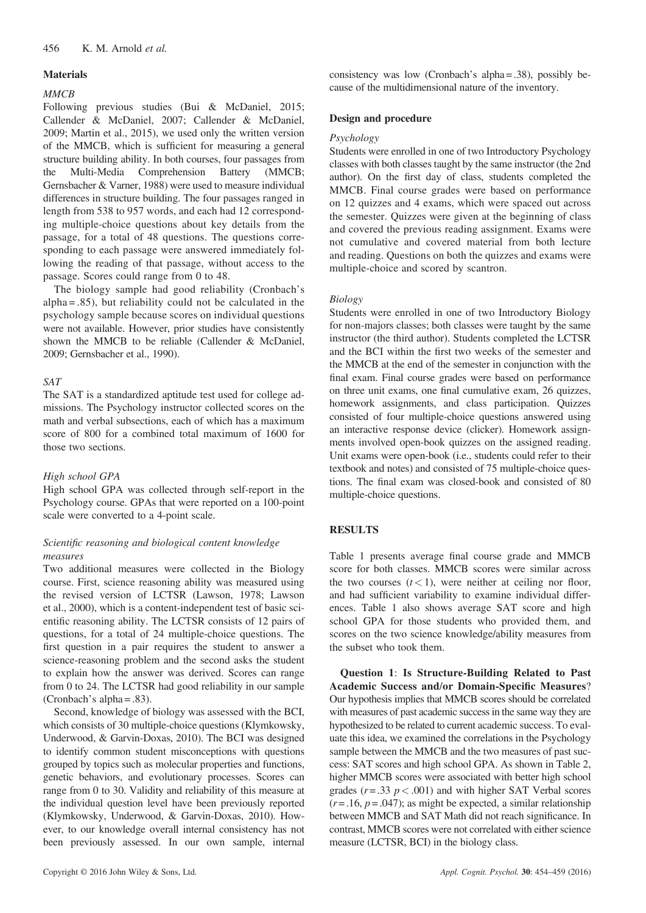#### **Materials**

#### **MMCB**

Following previous studies (Bui & McDaniel, 2015; Callender & McDaniel, 2007; Callender & McDaniel, 2009; Martin et al., 2015), we used only the written version of the MMCB, which is sufficient for measuring a general structure building ability. In both courses, four passages from the Multi-Media Comprehension Battery (MMCB; Gernsbacher & Varner, 1988) were used to measure individual differences in structure building. The four passages ranged in length from 538 to 957 words, and each had 12 corresponding multiple-choice questions about key details from the passage, for a total of 48 questions. The questions corresponding to each passage were answered immediately following the reading of that passage, without access to the passage. Scores could range from 0 to 48.

The biology sample had good reliability (Cronbach's  $alpha = .85$ ), but reliability could not be calculated in the psychology sample because scores on individual questions were not available. However, prior studies have consistently shown the MMCB to be reliable (Callender & McDaniel, 2009; Gernsbacher et al., 1990).

#### SAT

The SAT is a standardized aptitude test used for college admissions. The Psychology instructor collected scores on the math and verbal subsections, each of which has a maximum score of 800 for a combined total maximum of 1600 for those two sections.

#### High school GPA

High school GPA was collected through self-report in the Psychology course. GPAs that were reported on a 100-point scale were converted to a 4-point scale.

#### Scientific reasoning and biological content knowledge measures

Two additional measures were collected in the Biology course. First, science reasoning ability was measured using the revised version of LCTSR (Lawson, 1978; Lawson et al., 2000), which is a content-independent test of basic scientific reasoning ability. The LCTSR consists of 12 pairs of questions, for a total of 24 multiple-choice questions. The first question in a pair requires the student to answer a science-reasoning problem and the second asks the student to explain how the answer was derived. Scores can range from 0 to 24. The LCTSR had good reliability in our sample (Cronbach's alpha =  $.83$ ).

Second, knowledge of biology was assessed with the BCI, which consists of 30 multiple-choice questions (Klymkowsky, Underwood, & Garvin-Doxas, 2010). The BCI was designed to identify common student misconceptions with questions grouped by topics such as molecular properties and functions, genetic behaviors, and evolutionary processes. Scores can range from 0 to 30. Validity and reliability of this measure at the individual question level have been previously reported (Klymkowsky, Underwood, & Garvin-Doxas, 2010). However, to our knowledge overall internal consistency has not been previously assessed. In our own sample, internal consistency was low (Cronbach's alpha = .38), possibly because of the multidimensional nature of the inventory.

#### Design and procedure

#### Psychology

Students were enrolled in one of two Introductory Psychology classes with both classes taught by the same instructor (the 2nd author). On the first day of class, students completed the MMCB. Final course grades were based on performance on 12 quizzes and 4 exams, which were spaced out across the semester. Quizzes were given at the beginning of class and covered the previous reading assignment. Exams were not cumulative and covered material from both lecture and reading. Questions on both the quizzes and exams were multiple-choice and scored by scantron.

#### Biology

Students were enrolled in one of two Introductory Biology for non-majors classes; both classes were taught by the same instructor (the third author). Students completed the LCTSR and the BCI within the first two weeks of the semester and the MMCB at the end of the semester in conjunction with the final exam. Final course grades were based on performance on three unit exams, one final cumulative exam, 26 quizzes, homework assignments, and class participation. Quizzes consisted of four multiple-choice questions answered using an interactive response device (clicker). Homework assignments involved open-book quizzes on the assigned reading. Unit exams were open-book (i.e., students could refer to their textbook and notes) and consisted of 75 multiple-choice questions. The final exam was closed-book and consisted of 80 multiple-choice questions.

## RESULTS

Table 1 presents average final course grade and MMCB score for both classes. MMCB scores were similar across the two courses  $(t<1)$ , were neither at ceiling nor floor, and had sufficient variability to examine individual differences. Table 1 also shows average SAT score and high school GPA for those students who provided them, and scores on the two science knowledge/ability measures from the subset who took them.

Question 1: Is Structure-Building Related to Past Academic Success and/or Domain-Specific Measures? Our hypothesis implies that MMCB scores should be correlated with measures of past academic success in the same way they are hypothesized to be related to current academic success. To evaluate this idea, we examined the correlations in the Psychology sample between the MMCB and the two measures of past success: SAT scores and high school GPA. As shown in Table 2, higher MMCB scores were associated with better high school grades ( $r = .33$   $p < .001$ ) and with higher SAT Verbal scores  $(r = .16, p = .047)$ ; as might be expected, a similar relationship between MMCB and SAT Math did not reach significance. In contrast, MMCB scores were not correlated with either science measure (LCTSR, BCI) in the biology class.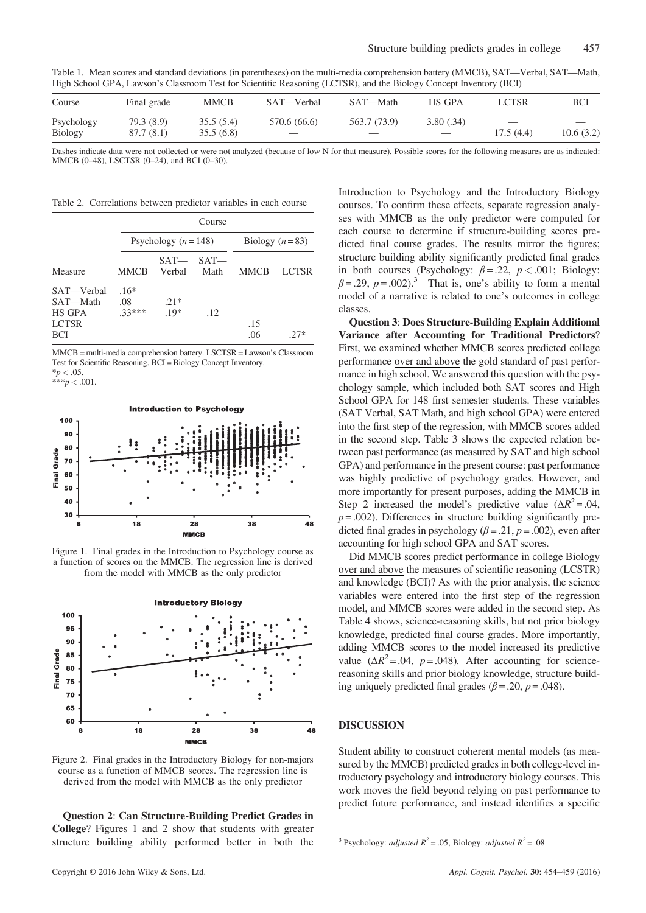Table 1. Mean scores and standard deviations (in parentheses) on the multi-media comprehension battery (MMCB), SAT—Verbal, SAT—Math, High School GPA, Lawson's Classroom Test for Scientific Reasoning (LCTSR), and the Biology Concept Inventory (BCI)

| Course         | Final grade | MMCB      | SAT—Verbal               | SAT—Math        | <b>HS GPA</b>            | LCTSR      | BCI                               |
|----------------|-------------|-----------|--------------------------|-----------------|--------------------------|------------|-----------------------------------|
| Psychology     | 79.3 (8.9)  | 35.5(5.4) | 570.6 (66.6)             | 563.7 (73.9)    | 3.80(.34)                |            | $\overbrace{\phantom{aaaaa}}^{x}$ |
| <b>Biology</b> | 87.7(8.1)   | 35.5(6.8) | $\overline{\phantom{a}}$ | $\qquad \qquad$ | $\overline{\phantom{a}}$ | 17.5 (4.4) | 10.6(3.2)                         |

Dashes indicate data were not collected or were not analyzed (because of low N for that measure). Possible scores for the following measures are as indicated: MMCB (0–48), LSCTSR (0–24), and BCI (0–30).

Table 2. Correlations between predictor variables in each course

|                                             |               |                      | Course         |             |                  |  |
|---------------------------------------------|---------------|----------------------|----------------|-------------|------------------|--|
|                                             |               | Psychology $(n=148)$ |                |             | Biology $(n=83)$ |  |
| Measure                                     | <b>MMCB</b>   | $SAT-$<br>Verbal     | $SAT-$<br>Math | <b>MMCB</b> | <b>LCTSR</b>     |  |
| SAT—Verbal<br>SAT-Math                      | $.16*$<br>.08 | $.21*$               |                |             |                  |  |
| <b>HS GPA</b><br><b>LCTSR</b><br><b>BCI</b> | $33***$       | $19*$                | .12            | .15<br>.06  | $27*$            |  |

MMCB = multi-media comprehension battery. LSCTSR = Lawson's Classroom Test for Scientific Reasoning. BCI = Biology Concept Inventory.  $*p < .05$ .

\*\*\* $p < .001$ .







Figure 2. Final grades in the Introductory Biology for non-majors course as a function of MMCB scores. The regression line is derived from the model with MMCB as the only predictor

Question 2: Can Structure-Building Predict Grades in College? Figures 1 and 2 show that students with greater structure building ability performed better in both the Introduction to Psychology and the Introductory Biology courses. To confirm these effects, separate regression analyses with MMCB as the only predictor were computed for each course to determine if structure-building scores predicted final course grades. The results mirror the figures; structure building ability significantly predicted final grades in both courses (Psychology:  $\beta = .22$ ,  $p < .001$ ; Biology:  $\beta$  = .29, p = .002).<sup>3</sup> That is, one's ability to form a mental model of a narrative is related to one's outcomes in college classes.

Question 3: Does Structure-Building Explain Additional Variance after Accounting for Traditional Predictors? First, we examined whether MMCB scores predicted college performance over and above the gold standard of past performance in high school. We answered this question with the psychology sample, which included both SAT scores and High School GPA for 148 first semester students. These variables (SAT Verbal, SAT Math, and high school GPA) were entered into the first step of the regression, with MMCB scores added in the second step. Table 3 shows the expected relation between past performance (as measured by SAT and high school GPA) and performance in the present course: past performance was highly predictive of psychology grades. However, and more importantly for present purposes, adding the MMCB in Step 2 increased the model's predictive value  $(\Delta R^2 = .04,$  $p = .002$ ). Differences in structure building significantly predicted final grades in psychology ( $\beta$  = .21,  $p$  = .002), even after accounting for high school GPA and SAT scores.

Did MMCB scores predict performance in college Biology over and above the measures of scientific reasoning (LCSTR) and knowledge (BCI)? As with the prior analysis, the science variables were entered into the first step of the regression model, and MMCB scores were added in the second step. As Table 4 shows, science-reasoning skills, but not prior biology knowledge, predicted final course grades. More importantly, adding MMCB scores to the model increased its predictive value  $(\Delta R^2 = 0.04, p = 0.048)$ . After accounting for sciencereasoning skills and prior biology knowledge, structure building uniquely predicted final grades ( $\beta$  = .20, p = .048).

#### DISCUSSION

Student ability to construct coherent mental models (as measured by the MMCB) predicted grades in both college-level introductory psychology and introductory biology courses. This work moves the field beyond relying on past performance to predict future performance, and instead identifies a specific

<sup>3</sup> Psychology: *adjusted*  $R^2$  = .05, Biology: *adjusted*  $R^2$  = .08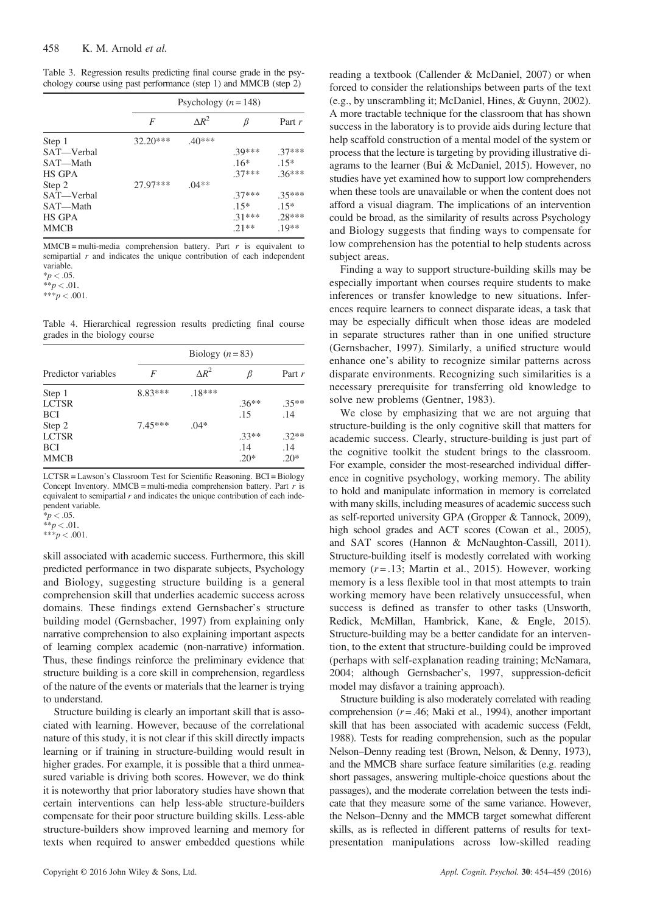Table 3. Regression results predicting final course grade in the psychology course using past performance (step 1) and MMCB (step 2)

|               |            | Psychology $(n=148)$ |          |          |
|---------------|------------|----------------------|----------|----------|
|               | F          | $\Lambda R^2$        | ß        | Part $r$ |
| Step 1        | $32.20***$ | $.40***$             |          |          |
| SAT-Verbal    |            |                      | $30***$  | $.37***$ |
| SAT-Math      |            |                      | $16*$    | $.15*$   |
| <b>HS GPA</b> |            |                      | $.37***$ | $.36***$ |
| Step 2        | 27.97***   | $.04**$              |          |          |
| SAT-Verbal    |            |                      | $.37***$ | $.35***$ |
| SAT—Math      |            |                      | $15*$    | $15*$    |
| <b>HS GPA</b> |            |                      | $.31***$ | $.28***$ |
| <b>MMCB</b>   |            |                      | $.21**$  | $.19**$  |

MMCB = multi-media comprehension battery. Part  $r$  is equivalent to semipartial  $r$  and indicates the unique contribution of each independent variable.  $*p < .05$ .

 $*p < .01$ .

\*\*\* $p < .001$ .

Table 4. Hierarchical regression results predicting final course grades in the biology course

|                     | Biology $(n=83)$ |               |         |          |  |
|---------------------|------------------|---------------|---------|----------|--|
| Predictor variables | F                | $\Lambda R^2$ | В       | Part $r$ |  |
| Step 1              | 8.83***          | $.18***$      |         |          |  |
| <b>LCTSR</b>        |                  |               | $.36**$ | $.35**$  |  |
| <b>BCI</b>          |                  |               | .15     | .14      |  |
| Step 2              | $7.45***$        | $.04*$        |         |          |  |
| <b>LCTSR</b>        |                  |               | $.33**$ | $.32**$  |  |
| <b>BCI</b>          |                  |               | .14     | .14      |  |
| <b>MMCB</b>         |                  |               | $.20*$  | $.20*$   |  |

LCTSR = Lawson's Classroom Test for Scientific Reasoning. BCI = Biology Concept Inventory. MMCB = multi-media comprehension battery. Part  $r$  is equivalent to semipartial  $r$  and indicates the unique contribution of each independent variable.

\*\* $p < .01$ . \*\*\* $p < .001$ .

skill associated with academic success. Furthermore, this skill predicted performance in two disparate subjects, Psychology and Biology, suggesting structure building is a general comprehension skill that underlies academic success across domains. These findings extend Gernsbacher's structure building model (Gernsbacher, 1997) from explaining only narrative comprehension to also explaining important aspects of learning complex academic (non-narrative) information. Thus, these findings reinforce the preliminary evidence that structure building is a core skill in comprehension, regardless of the nature of the events or materials that the learner is trying to understand.

Structure building is clearly an important skill that is associated with learning. However, because of the correlational nature of this study, it is not clear if this skill directly impacts learning or if training in structure-building would result in higher grades. For example, it is possible that a third unmeasured variable is driving both scores. However, we do think it is noteworthy that prior laboratory studies have shown that certain interventions can help less-able structure-builders compensate for their poor structure building skills. Less-able structure-builders show improved learning and memory for texts when required to answer embedded questions while

reading a textbook (Callender & McDaniel, 2007) or when forced to consider the relationships between parts of the text (e.g., by unscrambling it; McDaniel, Hines, & Guynn, 2002). A more tractable technique for the classroom that has shown success in the laboratory is to provide aids during lecture that help scaffold construction of a mental model of the system or process that the lecture is targeting by providing illustrative diagrams to the learner (Bui & McDaniel, 2015). However, no studies have yet examined how to support low comprehenders when these tools are unavailable or when the content does not afford a visual diagram. The implications of an intervention could be broad, as the similarity of results across Psychology and Biology suggests that finding ways to compensate for low comprehension has the potential to help students across subject areas.

Finding a way to support structure-building skills may be especially important when courses require students to make inferences or transfer knowledge to new situations. Inferences require learners to connect disparate ideas, a task that may be especially difficult when those ideas are modeled in separate structures rather than in one unified structure (Gernsbacher, 1997). Similarly, a unified structure would enhance one's ability to recognize similar patterns across disparate environments. Recognizing such similarities is a necessary prerequisite for transferring old knowledge to solve new problems (Gentner, 1983).

We close by emphasizing that we are not arguing that structure-building is the only cognitive skill that matters for academic success. Clearly, structure-building is just part of the cognitive toolkit the student brings to the classroom. For example, consider the most-researched individual difference in cognitive psychology, working memory. The ability to hold and manipulate information in memory is correlated with many skills, including measures of academic success such as self-reported university GPA (Gropper & Tannock, 2009), high school grades and ACT scores (Cowan et al., 2005), and SAT scores (Hannon & McNaughton-Cassill, 2011). Structure-building itself is modestly correlated with working memory  $(r = .13;$  Martin et al., 2015). However, working memory is a less flexible tool in that most attempts to train working memory have been relatively unsuccessful, when success is defined as transfer to other tasks (Unsworth, Redick, McMillan, Hambrick, Kane, & Engle, 2015). Structure-building may be a better candidate for an intervention, to the extent that structure-building could be improved (perhaps with self-explanation reading training; McNamara, 2004; although Gernsbacher's, 1997, suppression-deficit model may disfavor a training approach).

Structure building is also moderately correlated with reading comprehension  $(r=.46;$  Maki et al., 1994), another important skill that has been associated with academic success (Feldt, 1988). Tests for reading comprehension, such as the popular Nelson–Denny reading test (Brown, Nelson, & Denny, 1973), and the MMCB share surface feature similarities (e.g. reading short passages, answering multiple-choice questions about the passages), and the moderate correlation between the tests indicate that they measure some of the same variance. However, the Nelson–Denny and the MMCB target somewhat different skills, as is reflected in different patterns of results for textpresentation manipulations across low-skilled reading

 $*_{p}$  < .05.